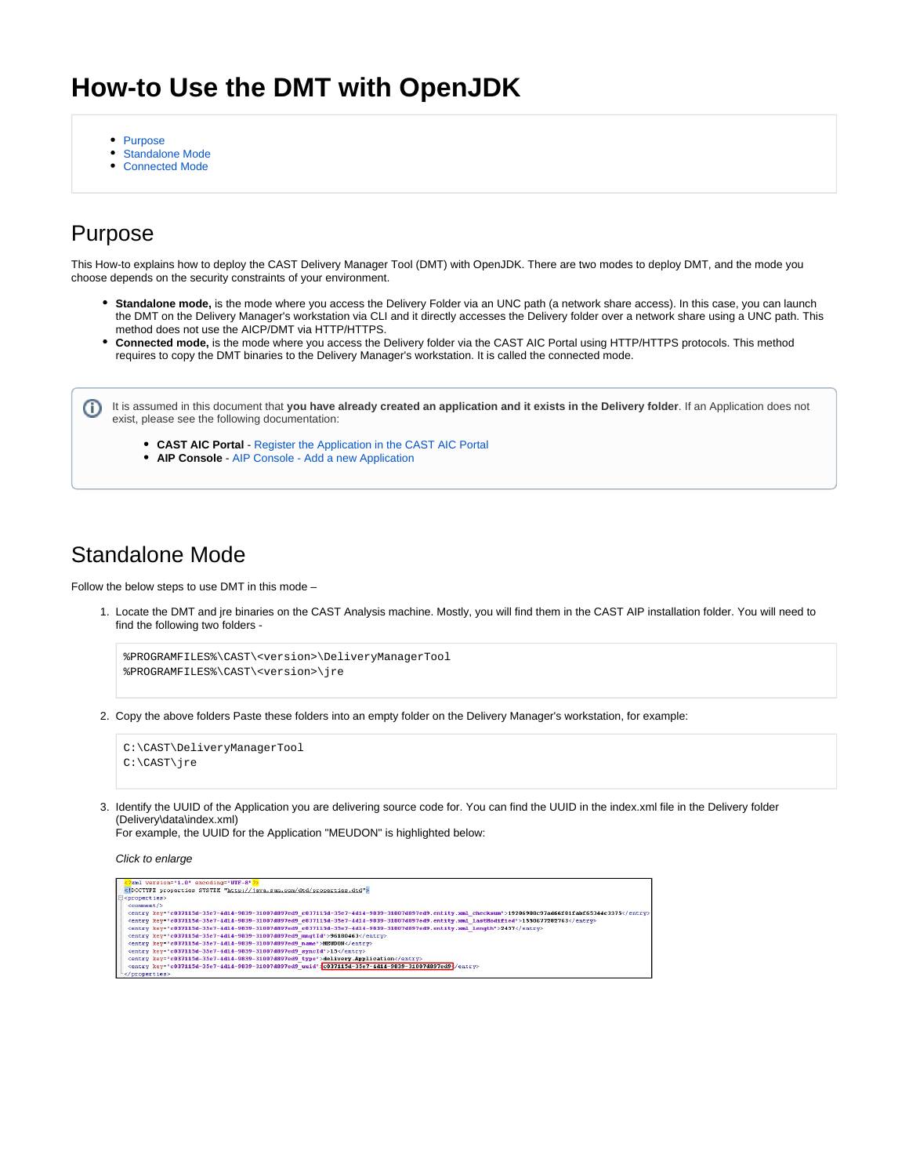- [Purpose](#page-0-0)
- [Standalone Mode](#page-0-1)
- [Connected Mode](#page-1-0)

# <span id="page-0-0"></span>Purpose

This How-to explains how to deploy the CAST Delivery Manager Tool (DMT) with OpenJDK. There are two modes to deploy DMT, and the mode you choose depends on the security constraints of your environment.

- **Standalone mode,** is the mode where you access the Delivery Folder via an UNC path (a network share access). In this case, you can launch the DMT on the Delivery Manager's workstation via CLI and it directly accesses the Delivery folder over a network share using a UNC path. This method does not use the AICP/DMT via HTTP/HTTPS.
- **Connected mode,** is the mode where you access the Delivery folder via the CAST AIC Portal using HTTP/HTTPS protocols. This method requires to copy the DMT binaries to the Delivery Manager's workstation. It is called the connected mode.

It is assumed in this document that **you have already created an application and it exists in the Delivery folder**. If an Application does not ➀ exist, please see the following documentation:

- **CAST AIC Portal - [Register the Application in the CAST AIC Portal](https://doc.castsoftware.com/display/DOC83/Register+the+Application+in+the+CAST+AIC+Portal)**
- **AIP Console** AIP Console Add a new Application

## <span id="page-0-1"></span>Standalone Mode

Follow the below steps to use DMT in this mode –

1. Locate the DMT and jre binaries on the CAST Analysis machine. Mostly, you will find them in the CAST AIP installation folder. You will need to find the following two folders -

```
%PROGRAMFILES%\CAST\<version>\DeliveryManagerTool
%PROGRAMFILES%\CAST\<version>\jre
```
2. Copy the above folders Paste these folders into an empty folder on the Delivery Manager's workstation, for example:

```
C:\CAST\DeliveryManagerTool
C:\CAST\jre
```
3. Identify the UUID of the Application you are delivering source code for. You can find the UUID in the index.xml file in the Delivery folder (Delivery\data\index.xml)

For example, the UUID for the Application "MEUDON" is highlighted below:

Click to enlarge

```
<mark><'xml</mark> version"'1.0" encoding""UTF-8"<mark>?></mark><br><'DOCTYPE properties SYSTEM "<u>http://1ava.sun.com/dtd/properties.dtd</u>"><br><properties>
  proper.us/<br>
<comment/><br>
<comment/><br>
<comment/><br>
<comment/><br>
<comment/><br>
<comment/><br>
<comment/><br>
<comment/><br>
<comment/><br>
<comment/><br>
<comment/><br>
<comment/><br>
<comment/><br>
<comment/><br>
<comment/><br>
<comment/><br>
<comment/><br>
<comme
 :/properties>
```
⋒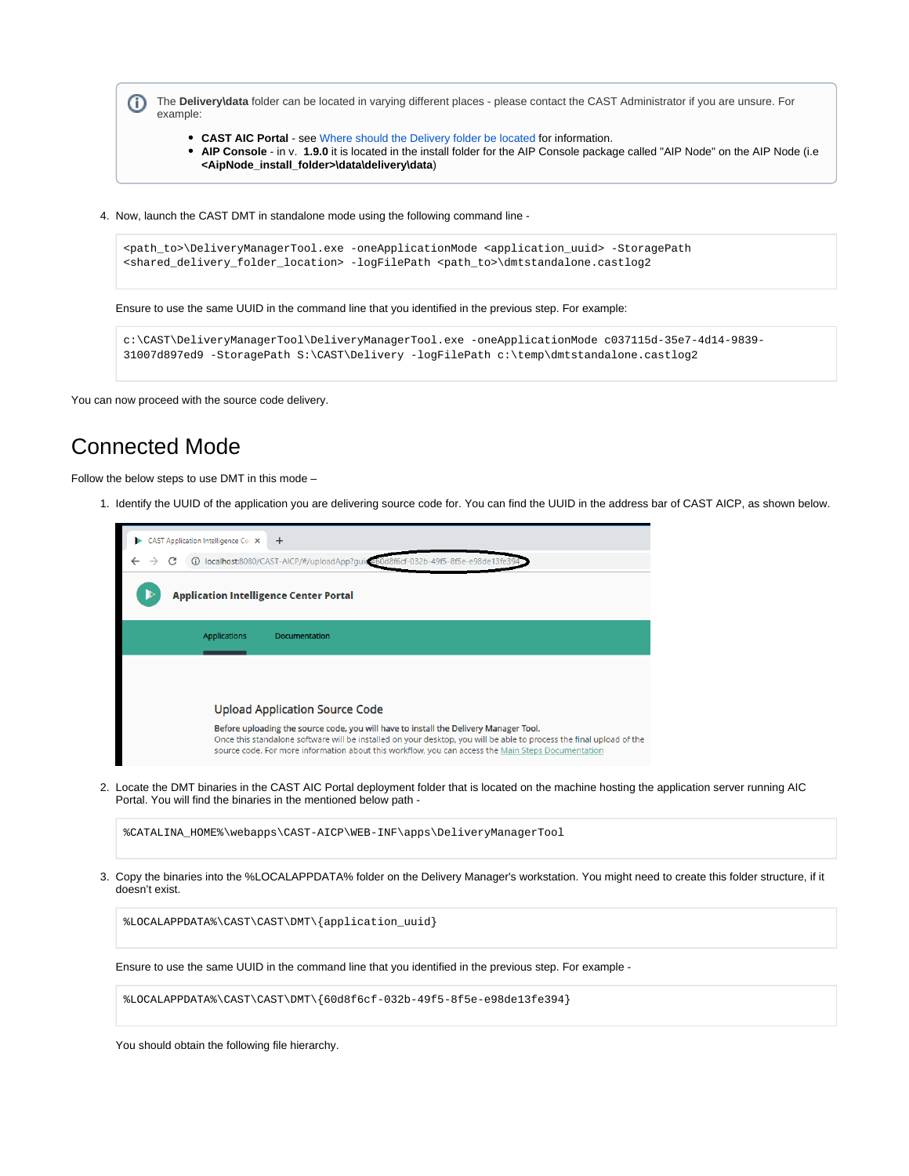The **Delivery\data** folder can be located in varying different places - please contact the CAST Administrator if you are unsure. For (i) example:

- **CAST AIC Portal**  see [Where should the Delivery folder be located](https://doc.castsoftware.com/display/DOC83/Where+should+the+Delivery+folder+be+located) for information.
- **AIP Console** in v. **1.9.0** it is located in the install folder for the AIP Console package called "AIP Node" on the AIP Node (i.e **<AipNode\_install\_folder>\data\delivery\data**)
- 4. Now, launch the CAST DMT in standalone mode using the following command line -

```
<path_to>\DeliveryManagerTool.exe -oneApplicationMode <application_uuid> -StoragePath 
<shared_delivery_folder_location> -logFilePath <path_to>\dmtstandalone.castlog2
```
Ensure to use the same UUID in the command line that you identified in the previous step. For example:

```
c:\CAST\DeliveryManagerTool\DeliveryManagerTool.exe -oneApplicationMode c037115d-35e7-4d14-9839-
31007d897ed9 -StoragePath S:\CAST\Delivery -logFilePath c:\temp\dmtstandalone.castlog2
```
You can now proceed with the source code delivery.

## <span id="page-1-0"></span>Connected Mode

Follow the below steps to use DMT in this mode –

1. Identify the UUID of the application you are delivering source code for. You can find the UUID in the address bar of CAST AICP, as shown below.

| Þ.                                            | <b>CAST Application Intelligence Cer X</b><br>$+$                                                                                                                                                                                                                                                                   |  |  |  |
|-----------------------------------------------|---------------------------------------------------------------------------------------------------------------------------------------------------------------------------------------------------------------------------------------------------------------------------------------------------------------------|--|--|--|
|                                               | G) localhost:8080/CAST-AICP/#/uploadApp?quid=60d8f6cf-032b-49f5-8f5e-e98de13fe394                                                                                                                                                                                                                                   |  |  |  |
| <b>Application Intelligence Center Portal</b> |                                                                                                                                                                                                                                                                                                                     |  |  |  |
|                                               | Applications<br>Documentation                                                                                                                                                                                                                                                                                       |  |  |  |
|                                               |                                                                                                                                                                                                                                                                                                                     |  |  |  |
|                                               |                                                                                                                                                                                                                                                                                                                     |  |  |  |
| <b>Upload Application Source Code</b>         |                                                                                                                                                                                                                                                                                                                     |  |  |  |
|                                               | Before uploading the source code, you will have to install the Delivery Manager Tool.<br>Once this standalone software will be installed on your desktop, you will be able to process the final upload of the<br>source code. For more information about this workflow, you can access the Main Steps Documentation |  |  |  |

2. Locate the DMT binaries in the CAST AIC Portal deployment folder that is located on the machine hosting the application server running AIC Portal. You will find the binaries in the mentioned below path -

%CATALINA\_HOME%\webapps\CAST-AICP\WEB-INF\apps\DeliveryManagerTool

3. Copy the binaries into the %LOCALAPPDATA% folder on the Delivery Manager's workstation. You might need to create this folder structure, if it doesn't exist.

%LOCALAPPDATA%\CAST\CAST\DMT\{application\_uuid}

Ensure to use the same UUID in the command line that you identified in the previous step. For example -

%LOCALAPPDATA%\CAST\CAST\DMT\{60d8f6cf-032b-49f5-8f5e-e98de13fe394}

You should obtain the following file hierarchy.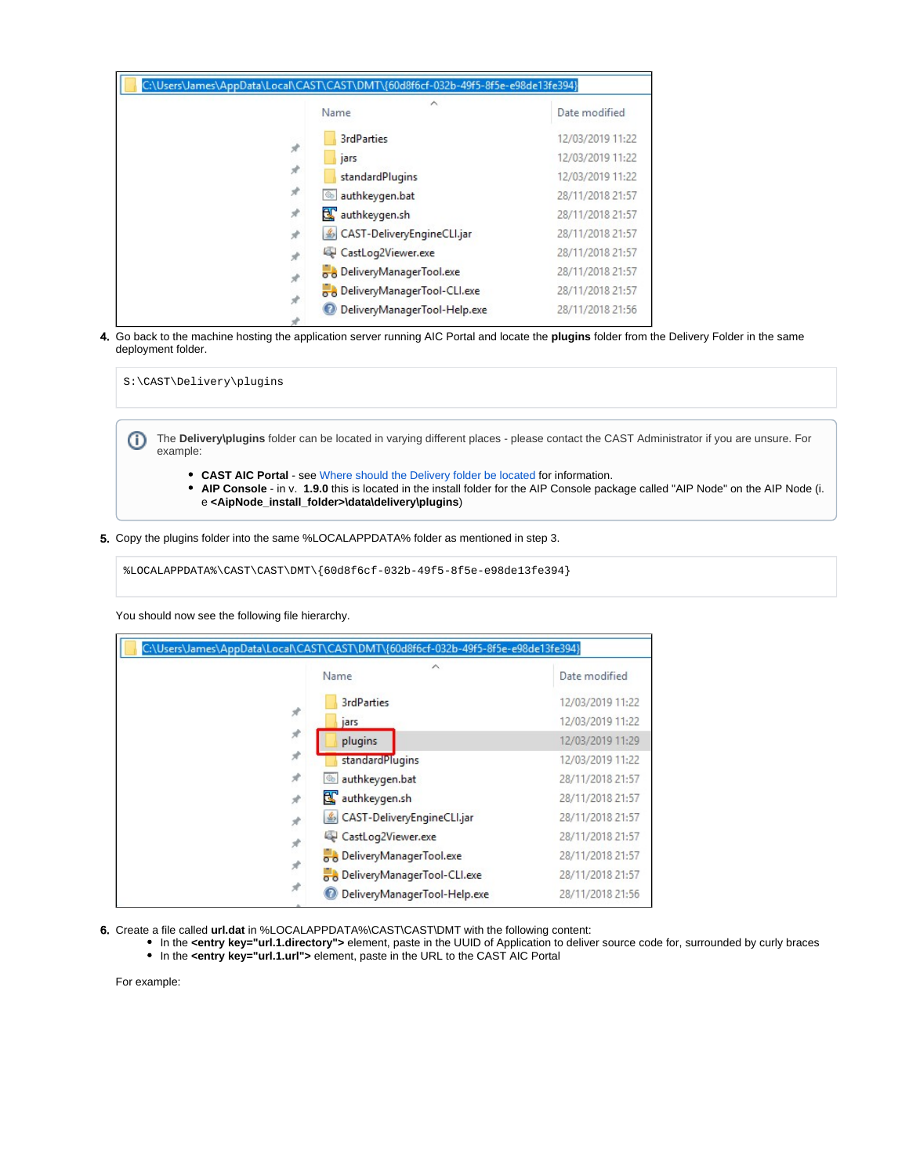|   | C:\Users\James\AppData\Local\CAST\CAST\DMT\{60d8f6cf-032b-49f5-8f5e-e98de13fe394} |                  |
|---|-----------------------------------------------------------------------------------|------------------|
|   | ᄉ<br>Name                                                                         | Date modified    |
|   | <b>3rdParties</b>                                                                 | 12/03/2019 11:22 |
|   | jars                                                                              | 12/03/2019 11:22 |
|   | standardPlugins                                                                   | 12/03/2019 11:22 |
|   | authkeygen.bat                                                                    | 28/11/2018 21:57 |
|   | authkeygen.sh                                                                     | 28/11/2018 21:57 |
| Å | ▲ CAST-DeliveryEngineCLI.jar                                                      | 28/11/2018 21:57 |
| A | CastLog2Viewer.exe                                                                | 28/11/2018 21:57 |
| Å | o B DeliveryManagerTool.exe                                                       | 28/11/2018 21:57 |
|   | o & DeliveryManagerTool-CLI.exe                                                   | 28/11/2018 21:57 |
|   | DeliveryManagerTool-Help.exe                                                      | 28/11/2018 21:56 |

4. Go back to the machine hosting the application server running AIC Portal and locate the **plugins** folder from the Delivery Folder in the same deployment folder.

S:\CAST\Delivery\plugins

- The **Delivery\plugins** folder can be located in varying different places please contact the CAST Administrator if you are unsure. For ⊕ example:
	- **CAST AIC Portal**  see [Where should the Delivery folder be located](https://doc.castsoftware.com/display/DOC83/Where+should+the+Delivery+folder+be+located) for information.
	- **AIP Console** in v. **1.9.0** this is located in the install folder for the AIP Console package called "AIP Node" on the AIP Node (i. e **<AipNode\_install\_folder>\data\delivery\plugins**)

5. Copy the plugins folder into the same %LOCALAPPDATA% folder as mentioned in step 3.

%LOCALAPPDATA%\CAST\CAST\DMT\{60d8f6cf-032b-49f5-8f5e-e98de13fe394}

You should now see the following file hierarchy.

| C:\Users\James\AppData\Local\CAST\CAST\DMT\{60d8f6cf-032b-49f5-8f5e-e98de13fe394} |                                  |                  |  |  |
|-----------------------------------------------------------------------------------|----------------------------------|------------------|--|--|
|                                                                                   | ᄉ<br>Name                        | Date modified    |  |  |
|                                                                                   | <b>3rdParties</b>                | 12/03/2019 11:22 |  |  |
| $\mathcal{R}$                                                                     | jars                             | 12/03/2019 11:22 |  |  |
|                                                                                   | plugins                          | 12/03/2019 11:29 |  |  |
|                                                                                   | standardPlugins                  | 12/03/2019 11:22 |  |  |
|                                                                                   | authkeygen.bat<br>$\circledcirc$ | 28/11/2018 21:57 |  |  |
|                                                                                   | authkeygen.sh                    | 28/11/2018 21:57 |  |  |
|                                                                                   | ▲ CAST-DeliveryEngineCLI.jar     | 28/11/2018 21:57 |  |  |
|                                                                                   | CastLog2Viewer.exe               | 28/11/2018 21:57 |  |  |
| À                                                                                 | o B DeliveryManagerTool.exe      | 28/11/2018 21:57 |  |  |
|                                                                                   | o beliveryManagerTool-CLI.exe    | 28/11/2018 21:57 |  |  |
|                                                                                   | DeliveryManagerTool-Help.exe     | 28/11/2018 21:56 |  |  |

- 6. Create a file called **url.dat** in %LOCALAPPDATA%\CAST\CAST\DMT with the following content:
- In the **<entry key="url.1.directory">** element, paste in the UUID of Application to deliver source code for, surrounded by curly braces In the **<entry key="url.1.url">** element, paste in the URL to the CAST AIC Portal

For example: